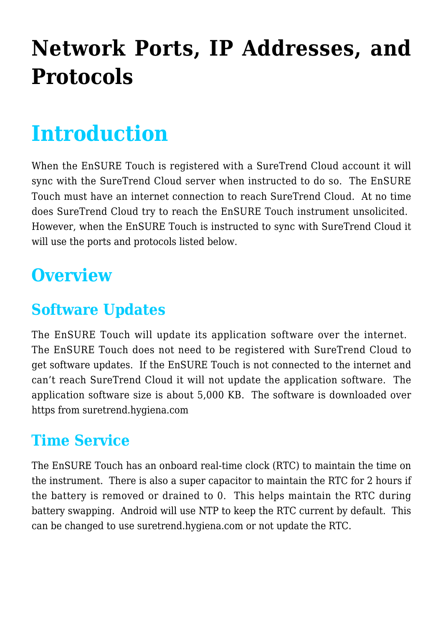# **[Network Ports, IP Addresses, and](https://help.hygiena.com/kb-doc/network-ports-ip-addresses-protocols/) [Protocols](https://help.hygiena.com/kb-doc/network-ports-ip-addresses-protocols/)**

# **Introduction**

When the EnSURE Touch is registered with a SureTrend Cloud account it will sync with the SureTrend Cloud server when instructed to do so. The EnSURE Touch must have an internet connection to reach SureTrend Cloud. At no time does SureTrend Cloud try to reach the EnSURE Touch instrument unsolicited. However, when the EnSURE Touch is instructed to sync with SureTrend Cloud it will use the ports and protocols listed below.

## **Overview**

### **Software Updates**

The EnSURE Touch will update its application software over the internet. The EnSURE Touch does not need to be registered with SureTrend Cloud to get software updates. If the EnSURE Touch is not connected to the internet and can't reach SureTrend Cloud it will not update the application software. The application software size is about 5,000 KB. The software is downloaded over https from suretrend.hygiena.com

#### **Time Service**

The EnSURE Touch has an onboard real-time clock (RTC) to maintain the time on the instrument. There is also a super capacitor to maintain the RTC for 2 hours if the battery is removed or drained to 0. This helps maintain the RTC during battery swapping. Android will use NTP to keep the RTC current by default. This can be changed to use suretrend.hygiena.com or not update the RTC.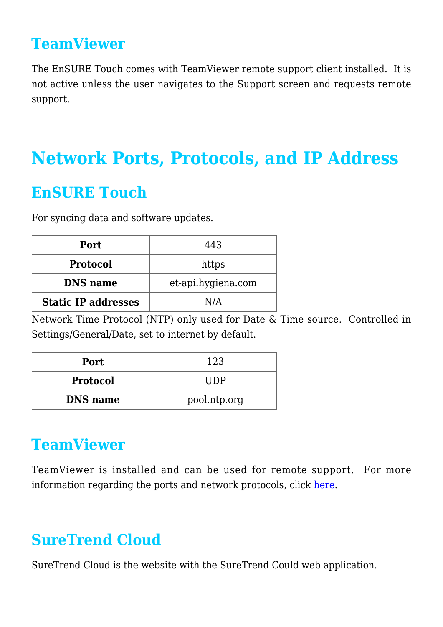#### **TeamViewer**

The EnSURE Touch comes with TeamViewer remote support client installed. It is not active unless the user navigates to the Support screen and requests remote support.

### **Network Ports, Protocols, and IP Address**

#### **EnSURE Touch**

For syncing data and software updates.

| Port                       | 443                |
|----------------------------|--------------------|
| <b>Protocol</b>            | https              |
| <b>DNS</b> name            | et-api.hygiena.com |
| <b>Static IP addresses</b> | N/A                |

Network Time Protocol (NTP) only used for Date & Time source. Controlled in Settings/General/Date, set to internet by default.

| <b>Port</b>     | 123          |
|-----------------|--------------|
| <b>Protocol</b> | TIDP         |
| <b>DNS</b> name | pool.ntp.org |

#### **TeamViewer**

TeamViewer is installed and can be used for remote support. For more information regarding the ports and network protocols, click [here.](https://community.teamviewer.com/t5/Knowledge-Base/Which-ports-are-used-by-TeamViewer/ta-p/4139)

#### **SureTrend Cloud**

SureTrend Cloud is the website with the SureTrend Could web application.